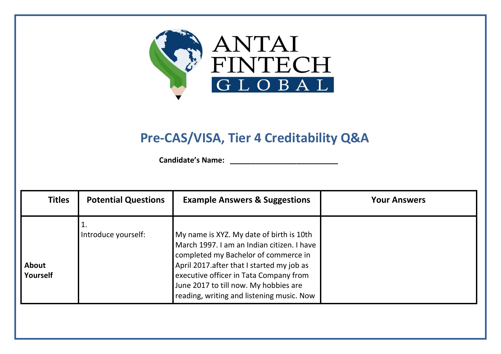

## **Pre-CAS/VISA, Tier 4 Creditability Q&A**

 **Candidate's Name: \_\_\_\_\_\_\_\_\_\_\_\_\_\_\_\_\_\_\_\_\_\_\_\_\_\_**

| <b>Titles</b>            | <b>Potential Questions</b> | <b>Example Answers &amp; Suggestions</b>                                                                                                                                                                                                                                                                     | <b>Your Answers</b> |
|--------------------------|----------------------------|--------------------------------------------------------------------------------------------------------------------------------------------------------------------------------------------------------------------------------------------------------------------------------------------------------------|---------------------|
| <b>About</b><br>Yourself | 1.<br>Introduce yourself:  | My name is XYZ. My date of birth is 10th<br>March 1997. I am an Indian citizen. I have<br>completed my Bachelor of commerce in<br>April 2017. after that I started my job as<br>executive officer in Tata Company from<br>June 2017 to till now. My hobbies are<br>reading, writing and listening music. Now |                     |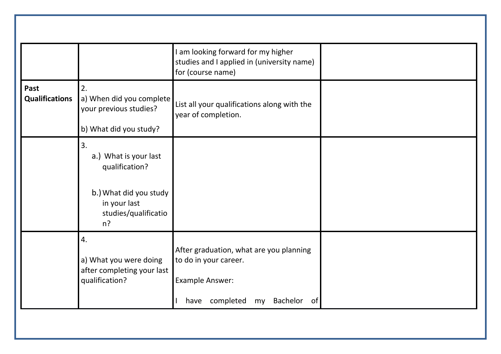|                               |                                                                                                                          | I am looking forward for my higher<br>studies and I applied in (university name)<br>for (course name)                                       |  |
|-------------------------------|--------------------------------------------------------------------------------------------------------------------------|---------------------------------------------------------------------------------------------------------------------------------------------|--|
| Past<br><b>Qualifications</b> | 2.<br>a) When did you complete<br>your previous studies?<br>b) What did you study?                                       | List all your qualifications along with the<br>year of completion.                                                                          |  |
|                               | 3.<br>a.) What is your last<br>qualification?<br>b.) What did you study<br>in your last<br>studies/qualificatio<br>$n$ ? |                                                                                                                                             |  |
|                               | 4.<br>a) What you were doing<br>after completing your last<br>qualification?                                             | After graduation, what are you planning<br>to do in your career.<br><b>Example Answer:</b><br>have completed<br><b>Bachelor</b><br>of<br>my |  |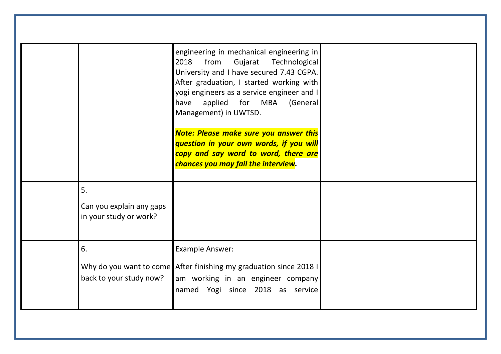|                                                          | engineering in mechanical engineering in<br>from<br>Gujarat Technological<br>2018<br>University and I have secured 7.43 CGPA.<br>After graduation, I started working with<br>yogi engineers as a service engineer and I<br>applied for MBA<br>(General<br>have<br>Management) in UWTSD. |  |
|----------------------------------------------------------|-----------------------------------------------------------------------------------------------------------------------------------------------------------------------------------------------------------------------------------------------------------------------------------------|--|
|                                                          | <b>Note: Please make sure you answer this</b><br>question in your own words, if you will<br>copy and say word to word, there are<br>chances you may fail the interview.                                                                                                                 |  |
| 5.<br>Can you explain any gaps<br>in your study or work? |                                                                                                                                                                                                                                                                                         |  |
| 6.<br>back to your study now?                            | <b>Example Answer:</b><br>Why do you want to come After finishing my graduation since 2018 I<br>am working in an engineer company<br>named Yogi since 2018 as service                                                                                                                   |  |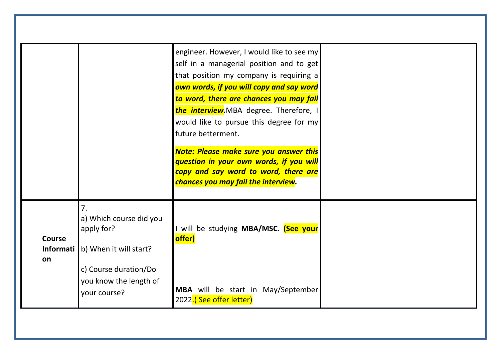|               |                                                 | engineer. However, I would like to see my                                   |  |
|---------------|-------------------------------------------------|-----------------------------------------------------------------------------|--|
|               |                                                 | self in a managerial position and to get                                    |  |
|               |                                                 | that position my company is requiring a                                     |  |
|               |                                                 | own words, if you will copy and say word                                    |  |
|               |                                                 | to word, there are chances you may fail                                     |  |
|               |                                                 | the interview.MBA degree. Therefore, I                                      |  |
|               |                                                 | would like to pursue this degree for my                                     |  |
|               |                                                 | future betterment.                                                          |  |
|               |                                                 |                                                                             |  |
|               |                                                 | <b>Note: Please make sure you answer this</b>                               |  |
|               |                                                 | question in your own words, if you will                                     |  |
|               |                                                 | copy and say word to word, there are<br>chances you may fail the interview. |  |
|               |                                                 |                                                                             |  |
|               | 7.                                              |                                                                             |  |
|               | a) Which course did you                         |                                                                             |  |
|               | apply for?                                      | will be studying MBA/MSC. (See your                                         |  |
| <b>Course</b> |                                                 | offer)                                                                      |  |
|               | <b>Informati</b> $\vert$ b) When it will start? |                                                                             |  |
| on            |                                                 |                                                                             |  |
|               | c) Course duration/Do                           |                                                                             |  |
|               | you know the length of                          |                                                                             |  |
|               | your course?                                    | MBA will be start in May/September                                          |  |
|               |                                                 | 2022.(See offer letter)                                                     |  |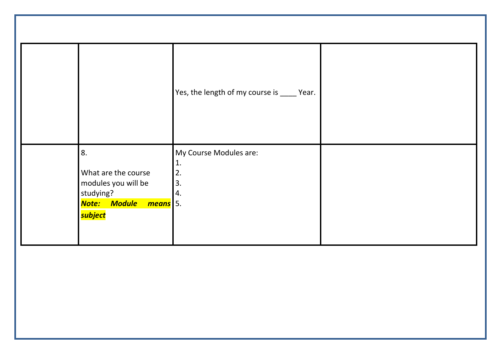|                                                                                                   | Yes, the length of my course is _____ Year.    |  |
|---------------------------------------------------------------------------------------------------|------------------------------------------------|--|
| 8.<br>What are the course<br>modules you will be<br>studying?<br>Note: Module means 5.<br>subject | My Course Modules are:<br>1.<br>2.<br>3.<br>4. |  |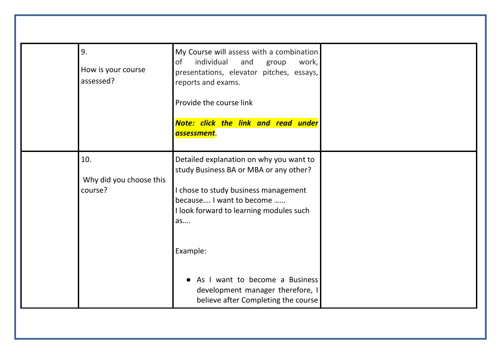| 9.<br>How is your course<br>assessed? | 0f<br>reports and exams.<br>assessment.   | My Course will assess with a combination<br>individual<br>and<br>work,<br>group<br>presentations, elevator pitches, essays,<br>Provide the course link<br>Note: click the link and read under                                                                                                                 |  |
|---------------------------------------|-------------------------------------------|---------------------------------------------------------------------------------------------------------------------------------------------------------------------------------------------------------------------------------------------------------------------------------------------------------------|--|
| 10.<br>course?                        | Why did you choose this<br>as<br>Example: | Detailed explanation on why you want to<br>study Business BA or MBA or any other?<br>I chose to study business management<br>because I want to become<br>I look forward to learning modules such<br>As I want to become a Business<br>development manager therefore, I<br>believe after Completing the course |  |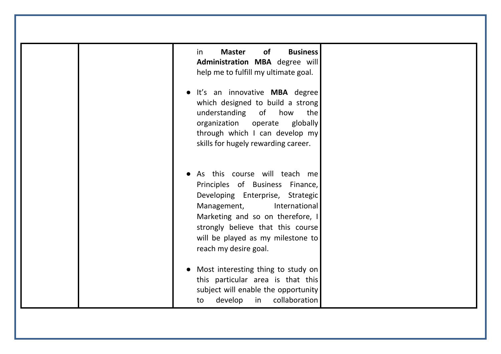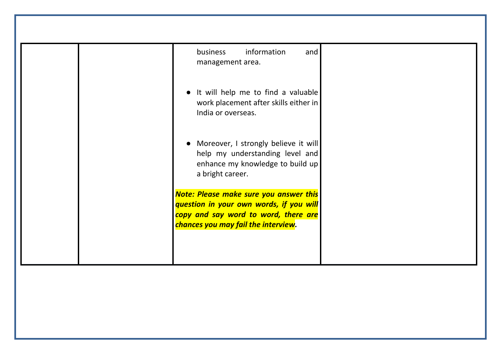| information<br>and<br>business<br>management area.                                                                                                                      |
|-------------------------------------------------------------------------------------------------------------------------------------------------------------------------|
| It will help me to find a valuable<br>work placement after skills either in<br>India or overseas.                                                                       |
| Moreover, I strongly believe it will<br>help my understanding level and<br>enhance my knowledge to build up<br>a bright career.                                         |
| <b>Note: Please make sure you answer this</b><br>question in your own words, if you will<br>copy and say word to word, there are<br>chances you may fail the interview. |
|                                                                                                                                                                         |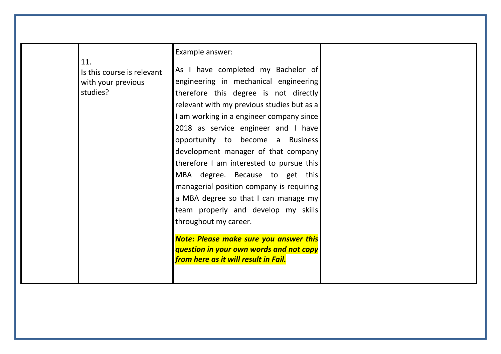|     |                            | Example answer:                               |  |
|-----|----------------------------|-----------------------------------------------|--|
| 11. |                            |                                               |  |
|     | Is this course is relevant | As I have completed my Bachelor of            |  |
|     | with your previous         | engineering in mechanical engineering         |  |
|     | studies?                   | therefore this degree is not directly         |  |
|     |                            | relevant with my previous studies but as a    |  |
|     |                            | I am working in a engineer company since      |  |
|     |                            | 2018 as service engineer and I have           |  |
|     |                            | opportunity to become a Business              |  |
|     |                            | development manager of that company           |  |
|     |                            | therefore I am interested to pursue this      |  |
|     |                            | MBA degree. Because to get this               |  |
|     |                            | managerial position company is requiring      |  |
|     |                            | a MBA degree so that I can manage my          |  |
|     |                            | team properly and develop my skills           |  |
|     |                            | throughout my career.                         |  |
|     |                            |                                               |  |
|     |                            | <b>Note: Please make sure you answer this</b> |  |
|     |                            | question in your own words and not copy       |  |
|     |                            | from here as it will result in Fail.          |  |
|     |                            |                                               |  |
|     |                            |                                               |  |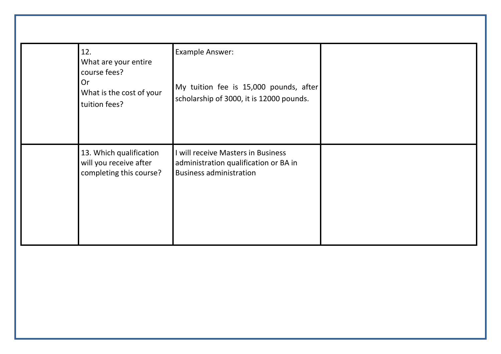| 12.<br>What are your entire<br>course fees?<br><b>Or</b><br>What is the cost of your<br>tuition fees? | <b>Example Answer:</b><br>My tuition fee is 15,000 pounds, after<br>scholarship of 3000, it is 12000 pounds.  |  |
|-------------------------------------------------------------------------------------------------------|---------------------------------------------------------------------------------------------------------------|--|
| 13. Which qualification<br>will you receive after<br>completing this course?                          | I will receive Masters in Business<br>administration qualification or BA in<br><b>Business administration</b> |  |
|                                                                                                       |                                                                                                               |  |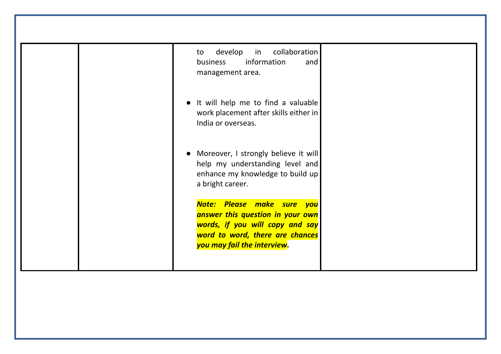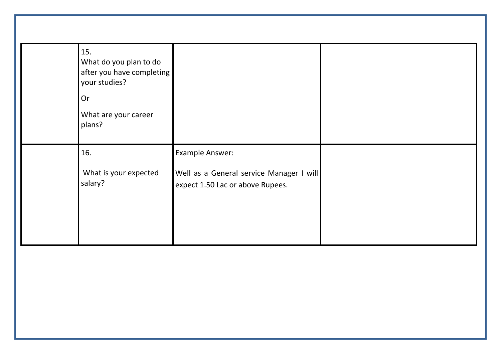| 15.<br>What do you plan to do<br>after you have completing<br>your studies?<br>Or<br>What are your career<br>plans? |                                                                                                 |  |
|---------------------------------------------------------------------------------------------------------------------|-------------------------------------------------------------------------------------------------|--|
| 16.<br>What is your expected<br>salary?                                                                             | Example Answer:<br>Well as a General service Manager I will<br>expect 1.50 Lac or above Rupees. |  |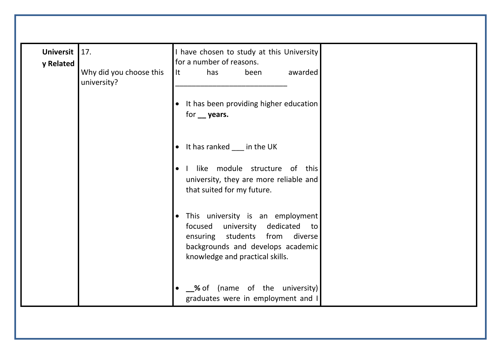| <b>Universit</b><br>y Related | 17.                                    |           | I have chosen to study at this University<br>for a number of reasons.                                                                                                         |                               |         |
|-------------------------------|----------------------------------------|-----------|-------------------------------------------------------------------------------------------------------------------------------------------------------------------------------|-------------------------------|---------|
|                               | Why did you choose this<br>university? | l It      | has                                                                                                                                                                           | been                          | awarded |
|                               |                                        | $\bullet$ | It has been providing higher education<br>for __ years.                                                                                                                       |                               |         |
|                               |                                        |           | • It has ranked ___ in the UK                                                                                                                                                 |                               |         |
|                               |                                        | $\bullet$ | $\mathbf{I}$<br>university, they are more reliable and<br>that suited for my future.                                                                                          | like module structure of this |         |
|                               |                                        | $\bullet$ | This university is an employment<br>focused university dedicated to<br>ensuring students from diverse<br>backgrounds and develops academic<br>knowledge and practical skills. |                               |         |
|                               |                                        |           | • Sof (name of the university)<br>graduates were in employment and I                                                                                                          |                               |         |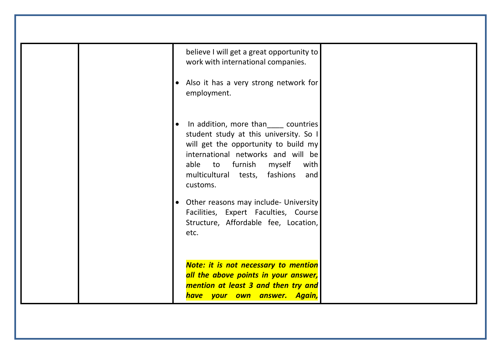| believe I will get a great opportunity to<br>work with international companies.<br>• Also it has a very strong network for<br>employment.                                                                                                                                                                                                                                            |
|--------------------------------------------------------------------------------------------------------------------------------------------------------------------------------------------------------------------------------------------------------------------------------------------------------------------------------------------------------------------------------------|
| In addition, more than countries<br>student study at this university. So I<br>will get the opportunity to build my<br>international networks and will be<br>myself<br>able to furnish<br>with<br>multicultural tests, fashions<br>and<br>customs.<br>• Other reasons may include- University<br>Facilities, Expert Faculties, Course<br>Structure, Affordable fee, Location,<br>etc. |
| <b>Note: it is not necessary to mention</b><br>all the above points in your answer,<br>mention at least 3 and then try and<br>have your own answer. Again,                                                                                                                                                                                                                           |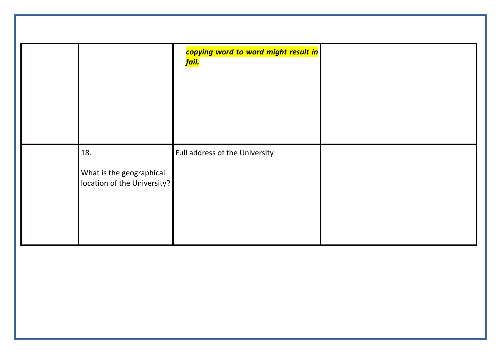|                                                                | copying word to word might result in<br><mark>fail.</mark> |  |
|----------------------------------------------------------------|------------------------------------------------------------|--|
| 18.<br>What is the geographical<br>location of the University? | Full address of the University                             |  |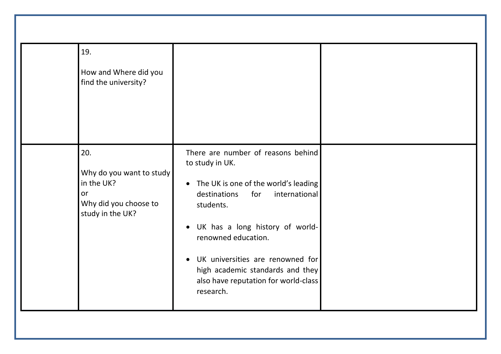| 19.                                                                                              |                                                                                                                                                                                                                                                                                                                                                                                  |  |
|--------------------------------------------------------------------------------------------------|----------------------------------------------------------------------------------------------------------------------------------------------------------------------------------------------------------------------------------------------------------------------------------------------------------------------------------------------------------------------------------|--|
| How and Where did you<br>find the university?                                                    |                                                                                                                                                                                                                                                                                                                                                                                  |  |
| 20.<br>Why do you want to study<br>in the UK?<br>or<br>Why did you choose to<br>study in the UK? | There are number of reasons behind<br>to study in UK.<br>The UK is one of the world's leading<br>$\bullet$<br>international<br>destinations<br>for<br>students.<br>UK has a long history of world-<br>$\bullet$<br>renowned education.<br>UK universities are renowned for<br>$\bullet$<br>high academic standards and they<br>also have reputation for world-class<br>research. |  |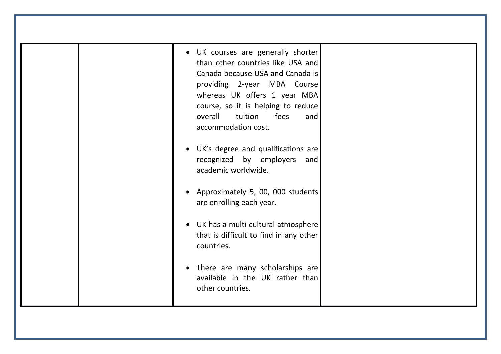| • UK courses are generally shorter<br>than other countries like USA and<br>Canada because USA and Canada is<br>providing 2-year MBA Course<br>whereas UK offers 1 year MBA<br>course, so it is helping to reduce<br>overall<br>tuition<br>fees<br>and<br>accommodation cost. |  |
|------------------------------------------------------------------------------------------------------------------------------------------------------------------------------------------------------------------------------------------------------------------------------|--|
| UK's degree and qualifications are<br>recognized by employers<br>and<br>academic worldwide.                                                                                                                                                                                  |  |
| Approximately 5, 00, 000 students<br>are enrolling each year.                                                                                                                                                                                                                |  |
| • UK has a multi cultural atmosphere<br>that is difficult to find in any other<br>countries.                                                                                                                                                                                 |  |
| • There are many scholarships are<br>available in the UK rather than<br>other countries.                                                                                                                                                                                     |  |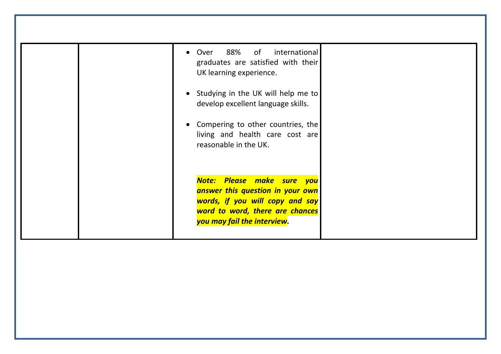| • Over 88% of international<br>graduates are satisfied with their<br>UK learning experience.                                                                        |  |
|---------------------------------------------------------------------------------------------------------------------------------------------------------------------|--|
| • Studying in the UK will help me to<br>develop excellent language skills.                                                                                          |  |
| Compering to other countries, the<br>living and health care cost are<br>reasonable in the UK.                                                                       |  |
| Note: Please make sure you<br>answer this question in your own<br>words, if you will copy and say<br>word to word, there are chances<br>you may fail the interview. |  |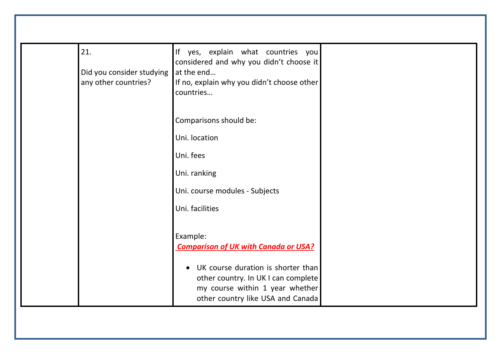| 21.<br>Did you consider studying<br>any other countries? | If yes, explain what countries you<br>considered and why you didn't choose it<br>at the end<br>If no, explain why you didn't choose other<br>countries         |  |
|----------------------------------------------------------|----------------------------------------------------------------------------------------------------------------------------------------------------------------|--|
|                                                          | Comparisons should be:                                                                                                                                         |  |
|                                                          | Uni. location                                                                                                                                                  |  |
|                                                          | Uni. fees                                                                                                                                                      |  |
|                                                          | Uni. ranking<br>Uni. course modules - Subjects                                                                                                                 |  |
|                                                          | Uni. facilities                                                                                                                                                |  |
|                                                          | Example:<br><b>Comparison of UK with Canada or USA?</b>                                                                                                        |  |
|                                                          | UK course duration is shorter than<br>$\bullet$<br>other country. In UK I can complete<br>my course within 1 year whether<br>other country like USA and Canada |  |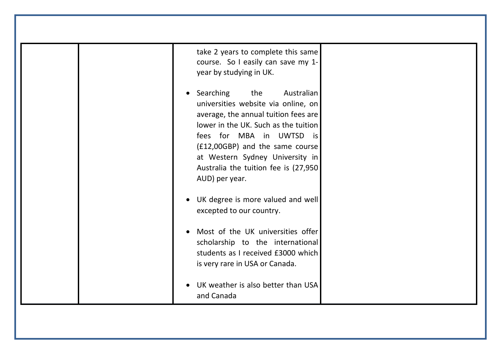| take 2 years to complete this same<br>course. So I easily can save my 1-<br>year by studying in UK.                                                                                                                                                                                                                         |  |
|-----------------------------------------------------------------------------------------------------------------------------------------------------------------------------------------------------------------------------------------------------------------------------------------------------------------------------|--|
| Searching the<br>Australian<br>$\bullet$<br>universities website via online, on<br>average, the annual tuition fees are<br>lower in the UK. Such as the tuition<br>fees for MBA in UWTSD is<br>(£12,00GBP) and the same course<br>at Western Sydney University in<br>Australia the tuition fee is (27,950<br>AUD) per year. |  |
| UK degree is more valued and well<br>excepted to our country.                                                                                                                                                                                                                                                               |  |
| Most of the UK universities offer<br>scholarship to the international<br>students as I received £3000 which<br>is very rare in USA or Canada.                                                                                                                                                                               |  |
| UK weather is also better than USA<br>and Canada                                                                                                                                                                                                                                                                            |  |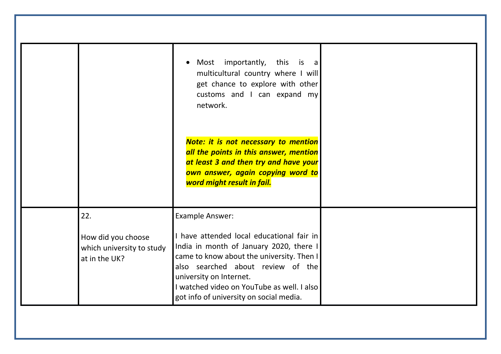|                                                                         | Most importantly, this is a<br>$\bullet$<br>multicultural country where I will<br>get chance to explore with other<br>customs and I can expand my<br>network.                                                                                                                                                        |  |
|-------------------------------------------------------------------------|----------------------------------------------------------------------------------------------------------------------------------------------------------------------------------------------------------------------------------------------------------------------------------------------------------------------|--|
|                                                                         | <b>Note: it is not necessary to mention</b><br>all the points in this answer, mention<br>at least 3 and then try and have your<br>own answer, again copying word to<br>word might result in fail.                                                                                                                    |  |
| 22.<br>How did you choose<br>which university to study<br>at in the UK? | <b>Example Answer:</b><br>I have attended local educational fair in<br>India in month of January 2020, there I<br>came to know about the university. Then I<br>also searched about review of the<br>university on Internet.<br>I watched video on YouTube as well. I also<br>got info of university on social media. |  |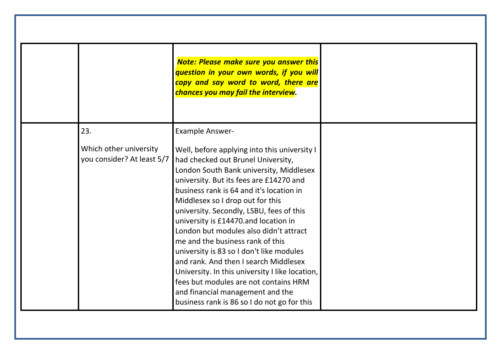|                                                      | <b>Note: Please make sure you answer this</b><br>question in your own words, if you will<br>copy and say word to word, there are<br>chances you may fail the interview.                                                                                                                                                                                                                                                                                                                                                                                                                                                                                                                        |
|------------------------------------------------------|------------------------------------------------------------------------------------------------------------------------------------------------------------------------------------------------------------------------------------------------------------------------------------------------------------------------------------------------------------------------------------------------------------------------------------------------------------------------------------------------------------------------------------------------------------------------------------------------------------------------------------------------------------------------------------------------|
| 23.                                                  | <b>Example Answer-</b>                                                                                                                                                                                                                                                                                                                                                                                                                                                                                                                                                                                                                                                                         |
| Which other university<br>you consider? At least 5/7 | Well, before applying into this university I<br>had checked out Brunel University,<br>London South Bank university, Middlesex<br>university. But its fees are £14270 and<br>business rank is 64 and it's location in<br>Middlesex so I drop out for this<br>university. Secondly, LSBU, fees of this<br>university is £14470.and location in<br>London but modules also didn't attract<br>me and the business rank of this<br>university is 83 so I don't like modules<br>and rank. And then I search Middlesex<br>University. In this university I like location,<br>fees but modules are not contains HRM<br>and financial management and the<br>business rank is 86 so I do not go for this |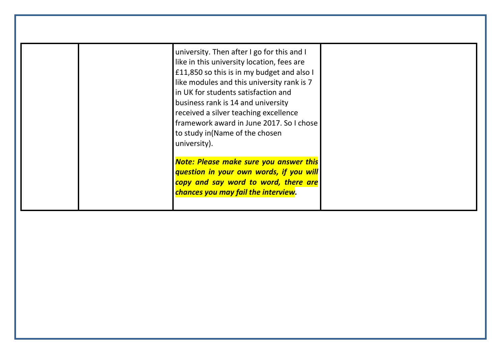| university. Then after I go for this and I<br>like in this university location, fees are<br>£11,850 so this is in my budget and also I<br>like modules and this university rank is 7<br>in UK for students satisfaction and<br>business rank is 14 and university<br>received a silver teaching excellence<br>framework award in June 2017. So I chose<br>to study in(Name of the chosen<br>university). |
|----------------------------------------------------------------------------------------------------------------------------------------------------------------------------------------------------------------------------------------------------------------------------------------------------------------------------------------------------------------------------------------------------------|
| <b>Note: Please make sure you answer this</b><br>question in your own words, if you will<br>copy and say word to word, there are<br>chances you may fail the interview.                                                                                                                                                                                                                                  |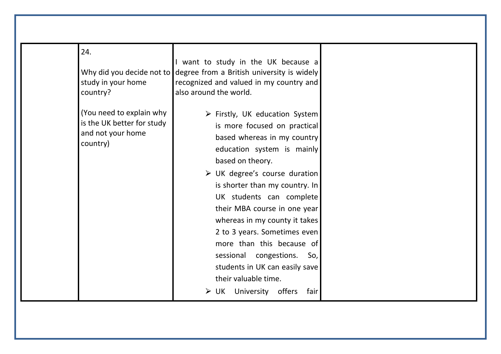| 24.<br>study in your home<br>country?                                                   | I want to study in the UK because a<br>Why did you decide not to degree from a British university is widely<br>recognized and valued in my country and<br>also around the world.                                                                                                                                                                                                                                                                                                                                                                       |  |
|-----------------------------------------------------------------------------------------|--------------------------------------------------------------------------------------------------------------------------------------------------------------------------------------------------------------------------------------------------------------------------------------------------------------------------------------------------------------------------------------------------------------------------------------------------------------------------------------------------------------------------------------------------------|--|
| (You need to explain why<br>is the UK better for study<br>and not your home<br>country) | $\triangleright$ Firstly, UK education System<br>is more focused on practical<br>based whereas in my country<br>education system is mainly<br>based on theory.<br>$\triangleright$ UK degree's course duration<br>is shorter than my country. In<br>UK students can complete<br>their MBA course in one year<br>whereas in my county it takes<br>2 to 3 years. Sometimes even<br>more than this because of<br>sessional congestions.<br>So,<br>students in UK can easily save<br>their valuable time.<br>$\triangleright$ UK University offers<br>fair |  |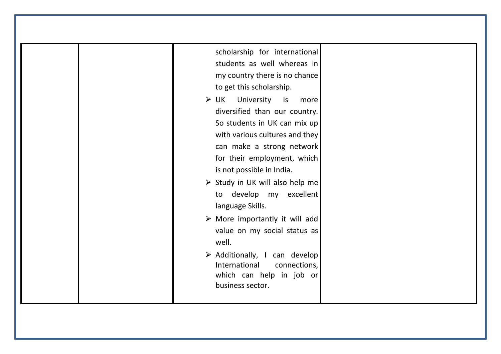| scholarship for international<br>students as well whereas in<br>my country there is no chance<br>to get this scholarship.<br>University is<br>> 0K<br>more<br>diversified than our country.<br>So students in UK can mix up<br>with various cultures and they<br>can make a strong network<br>for their employment, which<br>is not possible in India.<br>> Study in UK will also help me<br>to develop my excellent<br>language Skills.<br>$\triangleright$ More importantly it will add<br>value on my social status as<br>well.<br>$\triangleright$ Additionally, I can develop<br>International<br>connections,<br>which can help in job or<br>business sector. |  |
|---------------------------------------------------------------------------------------------------------------------------------------------------------------------------------------------------------------------------------------------------------------------------------------------------------------------------------------------------------------------------------------------------------------------------------------------------------------------------------------------------------------------------------------------------------------------------------------------------------------------------------------------------------------------|--|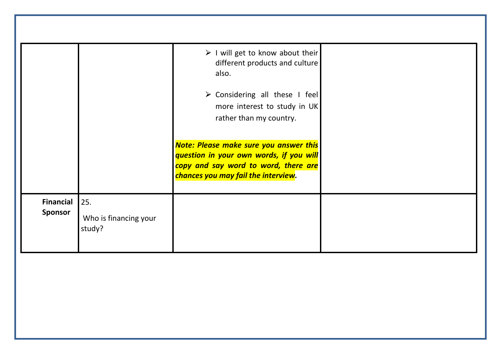|                                    |                                                | $\triangleright$ I will get to know about their<br>different products and culture<br>also.                                                                              |
|------------------------------------|------------------------------------------------|-------------------------------------------------------------------------------------------------------------------------------------------------------------------------|
|                                    |                                                | $\triangleright$ Considering all these I feel<br>more interest to study in UK<br>rather than my country.                                                                |
|                                    |                                                | <b>Note: Please make sure you answer this</b><br>question in your own words, if you will<br>copy and say word to word, there are<br>chances you may fail the interview. |
| <b>Financial</b><br><b>Sponsor</b> | $\vert$ 25.<br>Who is financing your<br>study? |                                                                                                                                                                         |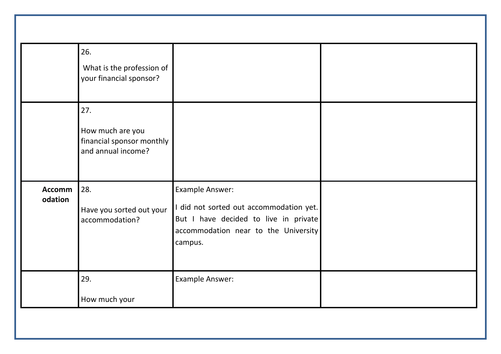|                          | 26.<br>What is the profession of<br>your financial sponsor?                |                                                                                                                                                        |  |
|--------------------------|----------------------------------------------------------------------------|--------------------------------------------------------------------------------------------------------------------------------------------------------|--|
|                          | 27.<br>How much are you<br>financial sponsor monthly<br>and annual income? |                                                                                                                                                        |  |
| <b>Accomm</b><br>odation | 28.<br>Have you sorted out your<br>accommodation?                          | Example Answer:<br>I did not sorted out accommodation yet.<br>But I have decided to live in private<br>accommodation near to the University<br>campus. |  |
|                          | 29.<br>How much your                                                       | Example Answer:                                                                                                                                        |  |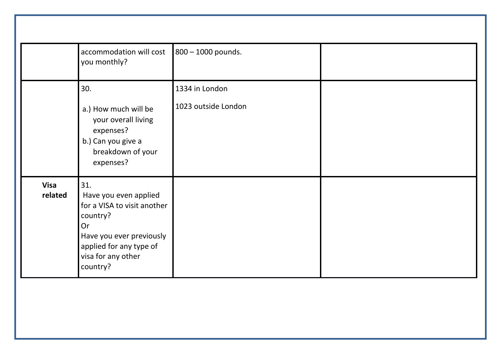|                        | accommodation will cost<br>you monthly?                                                                                                                                | 800 - 1000 pounds.                    |  |
|------------------------|------------------------------------------------------------------------------------------------------------------------------------------------------------------------|---------------------------------------|--|
|                        | 30.<br>a.) How much will be<br>your overall living<br>expenses?<br>b.) Can you give a<br>breakdown of your<br>expenses?                                                | 1334 in London<br>1023 outside London |  |
| <b>Visa</b><br>related | 31.<br>Have you even applied<br>for a VISA to visit another<br>country?<br>Or<br>Have you ever previously<br>applied for any type of<br>visa for any other<br>country? |                                       |  |